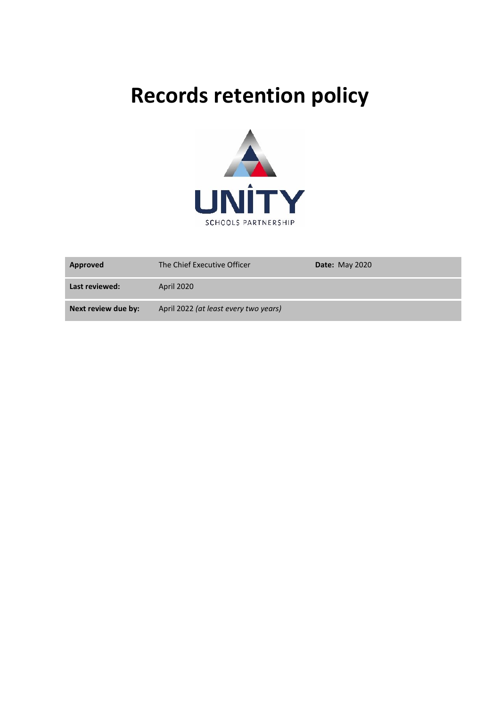# **Records retention policy**



| Approved            | The Chief Executive Officer           | <b>Date: May 2020</b> |
|---------------------|---------------------------------------|-----------------------|
| Last reviewed:      | April 2020                            |                       |
| Next review due by: | April 2022 (at least every two years) |                       |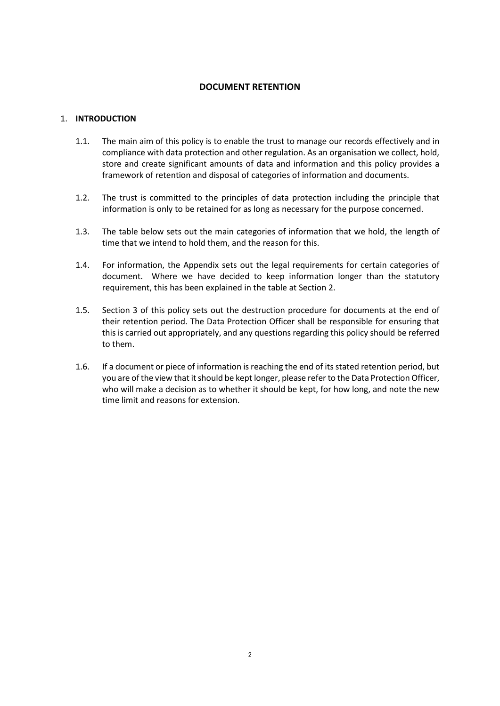# **DOCUMENT RETENTION**

# 1. **INTRODUCTION**

- 1.1. The main aim of this policy is to enable the trust to manage our records effectively and in compliance with data protection and other regulation. As an organisation we collect, hold, store and create significant amounts of data and information and this policy provides a framework of retention and disposal of categories of information and documents.
- 1.2. The trust is committed to the principles of data protection including the principle that information is only to be retained for as long as necessary for the purpose concerned.
- 1.3. The table below sets out the main categories of information that we hold, the length of time that we intend to hold them, and the reason for this.
- 1.4. For information, the Appendix sets out the legal requirements for certain categories of document. Where we have decided to keep information longer than the statutory requirement, this has been explained in the table at Section 2.
- 1.5. Section 3 of this policy sets out the destruction procedure for documents at the end of their retention period. The Data Protection Officer shall be responsible for ensuring that this is carried out appropriately, and any questions regarding this policy should be referred to them.
- 1.6. If a document or piece of information is reaching the end of its stated retention period, but you are of the view that it should be kept longer, please refer to the Data Protection Officer, who will make a decision as to whether it should be kept, for how long, and note the new time limit and reasons for extension.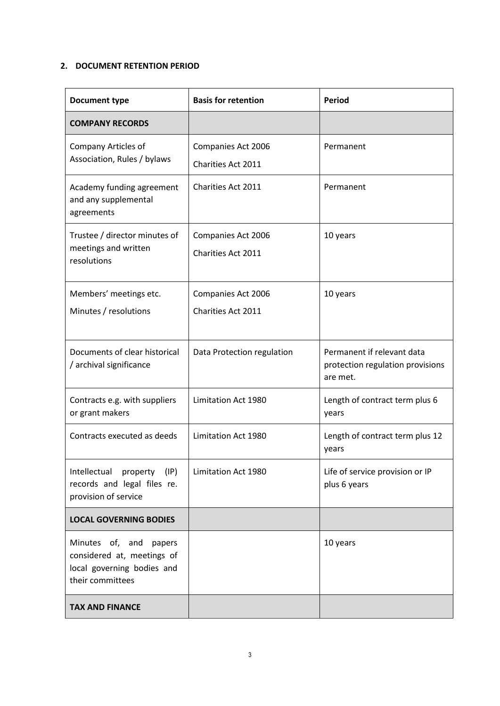# **2. DOCUMENT RETENTION PERIOD**

| <b>Document type</b>                                                                                   | <b>Basis for retention</b>               | <b>Period</b>                                                              |
|--------------------------------------------------------------------------------------------------------|------------------------------------------|----------------------------------------------------------------------------|
| <b>COMPANY RECORDS</b>                                                                                 |                                          |                                                                            |
| <b>Company Articles of</b><br>Association, Rules / bylaws                                              | Companies Act 2006<br>Charities Act 2011 | Permanent                                                                  |
| Academy funding agreement<br>and any supplemental<br>agreements                                        | Charities Act 2011                       | Permanent                                                                  |
| Trustee / director minutes of<br>meetings and written<br>resolutions                                   | Companies Act 2006<br>Charities Act 2011 | 10 years                                                                   |
| Members' meetings etc.<br>Minutes / resolutions                                                        | Companies Act 2006<br>Charities Act 2011 | 10 years                                                                   |
| Documents of clear historical<br>/ archival significance                                               | Data Protection regulation               | Permanent if relevant data<br>protection regulation provisions<br>are met. |
| Contracts e.g. with suppliers<br>or grant makers                                                       | Limitation Act 1980                      | Length of contract term plus 6<br>years                                    |
| Contracts executed as deeds                                                                            | Limitation Act 1980                      | Length of contract term plus 12<br>years                                   |
| Intellectual property (IP)<br>records and legal files re.<br>provision of service                      | Limitation Act 1980                      | Life of service provision or IP<br>plus 6 years                            |
| <b>LOCAL GOVERNING BODIES</b>                                                                          |                                          |                                                                            |
| Minutes of, and papers<br>considered at, meetings of<br>local governing bodies and<br>their committees |                                          | 10 years                                                                   |
| <b>TAX AND FINANCE</b>                                                                                 |                                          |                                                                            |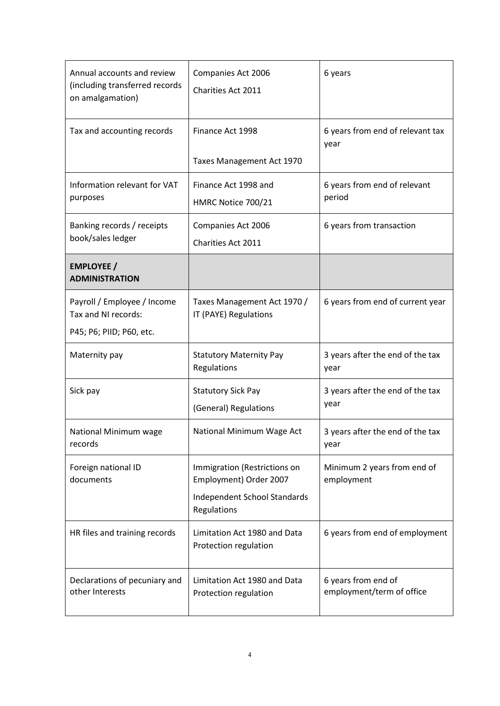| Annual accounts and review<br>(including transferred records<br>on amalgamation) | Companies Act 2006<br>Charities Act 2011               | 6 years                                          |
|----------------------------------------------------------------------------------|--------------------------------------------------------|--------------------------------------------------|
| Tax and accounting records                                                       | Finance Act 1998                                       | 6 years from end of relevant tax<br>year         |
|                                                                                  | Taxes Management Act 1970                              |                                                  |
| Information relevant for VAT<br>purposes                                         | Finance Act 1998 and<br>HMRC Notice 700/21             | 6 years from end of relevant<br>period           |
| Banking records / receipts<br>book/sales ledger                                  | Companies Act 2006<br>Charities Act 2011               | 6 years from transaction                         |
| <b>EMPLOYEE /</b><br><b>ADMINISTRATION</b>                                       |                                                        |                                                  |
| Payroll / Employee / Income<br>Tax and NI records:                               | Taxes Management Act 1970 /<br>IT (PAYE) Regulations   | 6 years from end of current year                 |
| P45; P6; PIID; P60, etc.                                                         |                                                        |                                                  |
| Maternity pay                                                                    | <b>Statutory Maternity Pay</b><br>Regulations          | 3 years after the end of the tax<br>year         |
| Sick pay                                                                         | <b>Statutory Sick Pay</b><br>(General) Regulations     | 3 years after the end of the tax<br>year         |
| National Minimum wage<br>records                                                 | National Minimum Wage Act                              | 3 years after the end of the tax<br>year         |
| Foreign national ID<br>documents                                                 | Immigration (Restrictions on<br>Employment) Order 2007 | Minimum 2 years from end of<br>employment        |
|                                                                                  | <b>Independent School Standards</b><br>Regulations     |                                                  |
| HR files and training records                                                    | Limitation Act 1980 and Data<br>Protection regulation  | 6 years from end of employment                   |
| Declarations of pecuniary and<br>other Interests                                 | Limitation Act 1980 and Data<br>Protection regulation  | 6 years from end of<br>employment/term of office |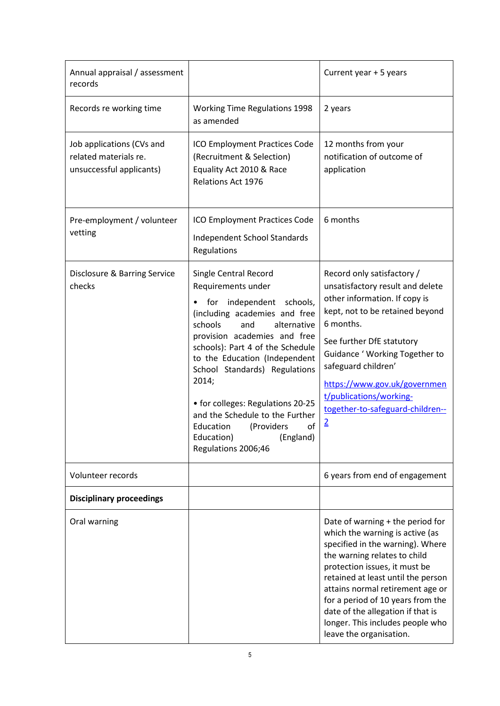| Annual appraisal / assessment<br>records                                       |                                                                                                                                                                                                                                                                                                                                                                                                                                                     | Current year + 5 years                                                                                                                                                                                                                                                                                                                                                                      |
|--------------------------------------------------------------------------------|-----------------------------------------------------------------------------------------------------------------------------------------------------------------------------------------------------------------------------------------------------------------------------------------------------------------------------------------------------------------------------------------------------------------------------------------------------|---------------------------------------------------------------------------------------------------------------------------------------------------------------------------------------------------------------------------------------------------------------------------------------------------------------------------------------------------------------------------------------------|
| Records re working time                                                        | <b>Working Time Regulations 1998</b><br>as amended                                                                                                                                                                                                                                                                                                                                                                                                  | 2 years                                                                                                                                                                                                                                                                                                                                                                                     |
| Job applications (CVs and<br>related materials re.<br>unsuccessful applicants) | ICO Employment Practices Code<br>(Recruitment & Selection)<br>Equality Act 2010 & Race<br>Relations Act 1976                                                                                                                                                                                                                                                                                                                                        | 12 months from your<br>notification of outcome of<br>application                                                                                                                                                                                                                                                                                                                            |
| Pre-employment / volunteer<br>vetting                                          | ICO Employment Practices Code<br>Independent School Standards<br>Regulations                                                                                                                                                                                                                                                                                                                                                                        | 6 months                                                                                                                                                                                                                                                                                                                                                                                    |
| Disclosure & Barring Service<br>checks                                         | Single Central Record<br>Requirements under<br>for independent schools,<br>(including academies and free<br>schools<br>and<br>alternative<br>provision academies and free<br>schools): Part 4 of the Schedule<br>to the Education (Independent<br>School Standards) Regulations<br>2014;<br>• for colleges: Regulations 20-25<br>and the Schedule to the Further<br>(Providers<br>Education<br>of<br>(England)<br>Education)<br>Regulations 2006;46 | Record only satisfactory /<br>unsatisfactory result and delete<br>other information. If copy is<br>kept, not to be retained beyond<br>6 months.<br>See further DfE statutory<br>Guidance ' Working Together to<br>safeguard children'<br>https://www.gov.uk/governmen<br>t/publications/working-<br>together-to-safeguard-children--<br>$\overline{2}$                                      |
| Volunteer records                                                              |                                                                                                                                                                                                                                                                                                                                                                                                                                                     | 6 years from end of engagement                                                                                                                                                                                                                                                                                                                                                              |
| <b>Disciplinary proceedings</b>                                                |                                                                                                                                                                                                                                                                                                                                                                                                                                                     |                                                                                                                                                                                                                                                                                                                                                                                             |
| Oral warning                                                                   |                                                                                                                                                                                                                                                                                                                                                                                                                                                     | Date of warning + the period for<br>which the warning is active (as<br>specified in the warning). Where<br>the warning relates to child<br>protection issues, it must be<br>retained at least until the person<br>attains normal retirement age or<br>for a period of 10 years from the<br>date of the allegation if that is<br>longer. This includes people who<br>leave the organisation. |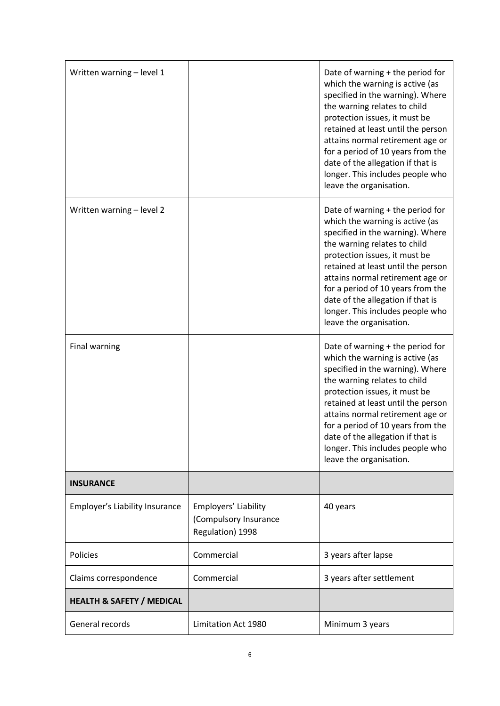| Written warning - level 1            |                                                                   | Date of warning + the period for<br>which the warning is active (as<br>specified in the warning). Where<br>the warning relates to child<br>protection issues, it must be<br>retained at least until the person<br>attains normal retirement age or<br>for a period of 10 years from the<br>date of the allegation if that is<br>longer. This includes people who<br>leave the organisation. |
|--------------------------------------|-------------------------------------------------------------------|---------------------------------------------------------------------------------------------------------------------------------------------------------------------------------------------------------------------------------------------------------------------------------------------------------------------------------------------------------------------------------------------|
| Written warning - level 2            |                                                                   | Date of warning + the period for<br>which the warning is active (as<br>specified in the warning). Where<br>the warning relates to child<br>protection issues, it must be<br>retained at least until the person<br>attains normal retirement age or<br>for a period of 10 years from the<br>date of the allegation if that is<br>longer. This includes people who<br>leave the organisation. |
| <b>Final warning</b>                 |                                                                   | Date of warning + the period for<br>which the warning is active (as<br>specified in the warning). Where<br>the warning relates to child<br>protection issues, it must be<br>retained at least until the person<br>attains normal retirement age or<br>for a period of 10 years from the<br>date of the allegation if that is<br>longer. This includes people who<br>leave the organisation. |
| <b>INSURANCE</b>                     |                                                                   |                                                                                                                                                                                                                                                                                                                                                                                             |
| Employer's Liability Insurance       | Employers' Liability<br>(Compulsory Insurance<br>Regulation) 1998 | 40 years                                                                                                                                                                                                                                                                                                                                                                                    |
| Policies                             | Commercial                                                        | 3 years after lapse                                                                                                                                                                                                                                                                                                                                                                         |
| Claims correspondence                | Commercial                                                        | 3 years after settlement                                                                                                                                                                                                                                                                                                                                                                    |
| <b>HEALTH &amp; SAFETY / MEDICAL</b> |                                                                   |                                                                                                                                                                                                                                                                                                                                                                                             |
| General records                      | Limitation Act 1980                                               | Minimum 3 years                                                                                                                                                                                                                                                                                                                                                                             |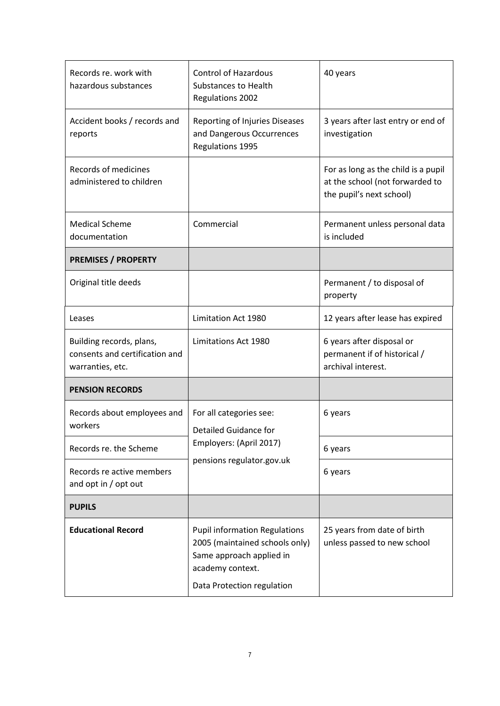| Records re. work with<br>hazardous substances                                  | <b>Control of Hazardous</b><br><b>Substances to Health</b><br><b>Regulations 2002</b>                                                                | 40 years                                                                                           |
|--------------------------------------------------------------------------------|------------------------------------------------------------------------------------------------------------------------------------------------------|----------------------------------------------------------------------------------------------------|
| Accident books / records and<br>reports                                        | Reporting of Injuries Diseases<br>and Dangerous Occurrences<br>Regulations 1995                                                                      | 3 years after last entry or end of<br>investigation                                                |
| <b>Records of medicines</b><br>administered to children                        |                                                                                                                                                      | For as long as the child is a pupil<br>at the school (not forwarded to<br>the pupil's next school) |
| <b>Medical Scheme</b><br>documentation                                         | Commercial                                                                                                                                           | Permanent unless personal data<br>is included                                                      |
| <b>PREMISES / PROPERTY</b>                                                     |                                                                                                                                                      |                                                                                                    |
| Original title deeds                                                           |                                                                                                                                                      | Permanent / to disposal of<br>property                                                             |
| Leases                                                                         | Limitation Act 1980                                                                                                                                  | 12 years after lease has expired                                                                   |
| Building records, plans,<br>consents and certification and<br>warranties, etc. | Limitations Act 1980                                                                                                                                 | 6 years after disposal or<br>permanent if of historical /<br>archival interest.                    |
| <b>PENSION RECORDS</b>                                                         |                                                                                                                                                      |                                                                                                    |
| Records about employees and<br>workers                                         | For all categories see:<br><b>Detailed Guidance for</b>                                                                                              | 6 years                                                                                            |
| Records re. the Scheme                                                         | Employers: (April 2017)<br>pensions regulator.gov.uk                                                                                                 | 6 years                                                                                            |
| Records re active members<br>and opt in / opt out                              |                                                                                                                                                      | 6 years                                                                                            |
| <b>PUPILS</b>                                                                  |                                                                                                                                                      |                                                                                                    |
| <b>Educational Record</b>                                                      | <b>Pupil information Regulations</b><br>2005 (maintained schools only)<br>Same approach applied in<br>academy context.<br>Data Protection regulation | 25 years from date of birth<br>unless passed to new school                                         |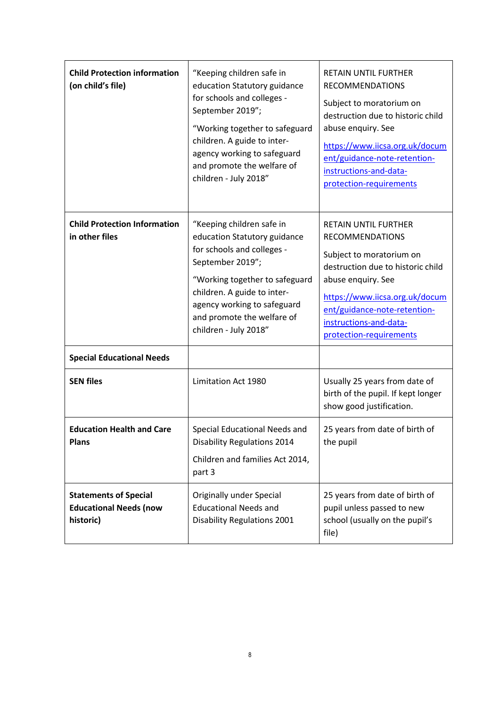| <b>Child Protection information</b><br>(on child's file)                                  | "Keeping children safe in<br>education Statutory guidance<br>for schools and colleges -<br>September 2019";<br>"Working together to safeguard<br>children. A guide to inter-<br>agency working to safeguard<br>and promote the welfare of<br>children - July 2018" | <b>RETAIN UNTIL FURTHER</b><br><b>RECOMMENDATIONS</b><br>Subject to moratorium on<br>destruction due to historic child<br>abuse enquiry. See<br>https://www.iicsa.org.uk/docum<br>ent/guidance-note-retention-<br>instructions-and-data-<br>protection-requirements |
|-------------------------------------------------------------------------------------------|--------------------------------------------------------------------------------------------------------------------------------------------------------------------------------------------------------------------------------------------------------------------|---------------------------------------------------------------------------------------------------------------------------------------------------------------------------------------------------------------------------------------------------------------------|
| <b>Child Protection Information</b><br>in other files<br><b>Special Educational Needs</b> | "Keeping children safe in<br>education Statutory guidance<br>for schools and colleges -<br>September 2019";<br>"Working together to safeguard<br>children. A guide to inter-<br>agency working to safeguard<br>and promote the welfare of<br>children - July 2018" | <b>RETAIN UNTIL FURTHER</b><br><b>RECOMMENDATIONS</b><br>Subject to moratorium on<br>destruction due to historic child<br>abuse enquiry. See<br>https://www.iicsa.org.uk/docum<br>ent/guidance-note-retention-<br>instructions-and-data-<br>protection-requirements |
| <b>SEN files</b>                                                                          | Limitation Act 1980                                                                                                                                                                                                                                                | Usually 25 years from date of<br>birth of the pupil. If kept longer<br>show good justification.                                                                                                                                                                     |
| <b>Education Health and Care</b><br><b>Plans</b>                                          | Special Educational Needs and<br><b>Disability Regulations 2014</b><br>Children and families Act 2014,<br>part 3                                                                                                                                                   | 25 years from date of birth of<br>the pupil                                                                                                                                                                                                                         |
| <b>Statements of Special</b><br><b>Educational Needs (now</b><br>historic)                | Originally under Special<br><b>Educational Needs and</b><br>Disability Regulations 2001                                                                                                                                                                            | 25 years from date of birth of<br>pupil unless passed to new<br>school (usually on the pupil's<br>file)                                                                                                                                                             |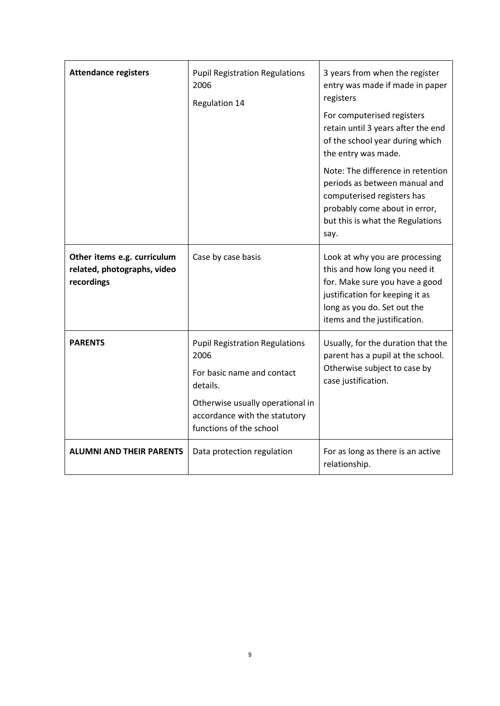| <b>Attendance registers</b>                                              | <b>Pupil Registration Regulations</b><br>2006<br>Regulation 14                                                                                                                          | 3 years from when the register<br>entry was made if made in paper<br>registers<br>For computerised registers<br>retain until 3 years after the end<br>of the school year during which<br>the entry was made.<br>Note: The difference in retention<br>periods as between manual and<br>computerised registers has<br>probably come about in error,<br>but this is what the Regulations<br>say. |
|--------------------------------------------------------------------------|-----------------------------------------------------------------------------------------------------------------------------------------------------------------------------------------|-----------------------------------------------------------------------------------------------------------------------------------------------------------------------------------------------------------------------------------------------------------------------------------------------------------------------------------------------------------------------------------------------|
| Other items e.g. curriculum<br>related, photographs, video<br>recordings | Case by case basis                                                                                                                                                                      | Look at why you are processing<br>this and how long you need it<br>for. Make sure you have a good<br>justification for keeping it as<br>long as you do. Set out the<br>items and the justification.                                                                                                                                                                                           |
| <b>PARENTS</b>                                                           | <b>Pupil Registration Regulations</b><br>2006<br>For basic name and contact<br>details.<br>Otherwise usually operational in<br>accordance with the statutory<br>functions of the school | Usually, for the duration that the<br>parent has a pupil at the school.<br>Otherwise subject to case by<br>case justification.                                                                                                                                                                                                                                                                |
| <b>ALUMNI AND THEIR PARENTS</b>                                          | Data protection regulation                                                                                                                                                              | For as long as there is an active<br>relationship.                                                                                                                                                                                                                                                                                                                                            |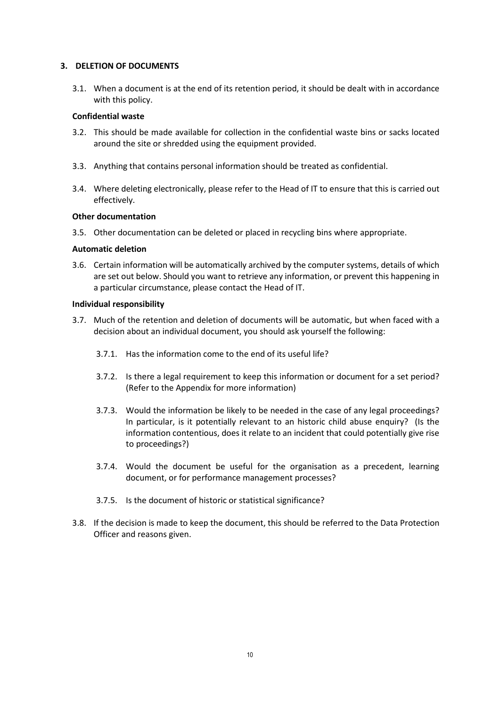#### **3. DELETION OF DOCUMENTS**

3.1. When a document is at the end of its retention period, it should be dealt with in accordance with this policy.

#### **Confidential waste**

- 3.2. This should be made available for collection in the confidential waste bins or sacks located around the site or shredded using the equipment provided.
- 3.3. Anything that contains personal information should be treated as confidential.
- 3.4. Where deleting electronically, please refer to the Head of IT to ensure that this is carried out effectively.

#### **Other documentation**

3.5. Other documentation can be deleted or placed in recycling bins where appropriate.

#### **Automatic deletion**

3.6. Certain information will be automatically archived by the computer systems, details of which are set out below. Should you want to retrieve any information, or prevent this happening in a particular circumstance, please contact the Head of IT.

#### **Individual responsibility**

- 3.7. Much of the retention and deletion of documents will be automatic, but when faced with a decision about an individual document, you should ask yourself the following:
	- 3.7.1. Has the information come to the end of its useful life?
	- 3.7.2. Is there a legal requirement to keep this information or document for a set period? (Refer to the Appendix for more information)
	- 3.7.3. Would the information be likely to be needed in the case of any legal proceedings? In particular, is it potentially relevant to an historic child abuse enquiry? (Is the information contentious, does it relate to an incident that could potentially give rise to proceedings?)
	- 3.7.4. Would the document be useful for the organisation as a precedent, learning document, or for performance management processes?
	- 3.7.5. Is the document of historic or statistical significance?
- 3.8. If the decision is made to keep the document, this should be referred to the Data Protection Officer and reasons given.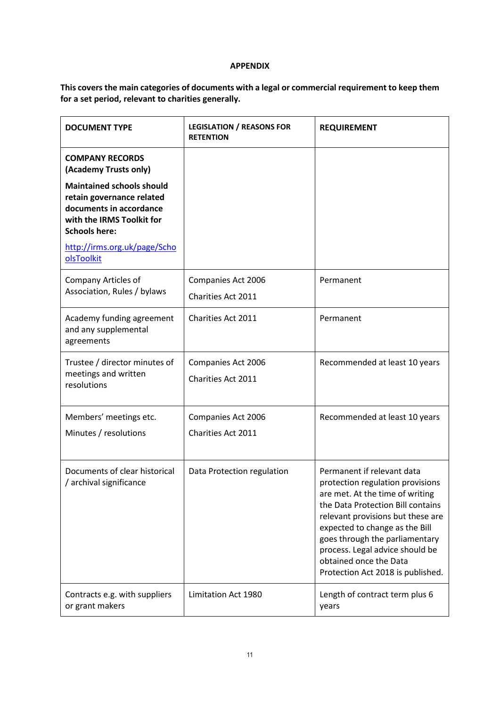#### **APPENDIX**

# **This covers the main categories of documents with a legal or commercial requirement to keep them for a set period, relevant to charities generally.**

| <b>DOCUMENT TYPE</b>                                                                                      | <b>LEGISLATION / REASONS FOR</b><br><b>RETENTION</b> | <b>REQUIREMENT</b>                                                                                                                                                                                                                                                                                                                                |
|-----------------------------------------------------------------------------------------------------------|------------------------------------------------------|---------------------------------------------------------------------------------------------------------------------------------------------------------------------------------------------------------------------------------------------------------------------------------------------------------------------------------------------------|
| <b>COMPANY RECORDS</b><br>(Academy Trusts only)<br><b>Maintained schools should</b>                       |                                                      |                                                                                                                                                                                                                                                                                                                                                   |
| retain governance related<br>documents in accordance<br>with the IRMS Toolkit for<br><b>Schools here:</b> |                                                      |                                                                                                                                                                                                                                                                                                                                                   |
| http://irms.org.uk/page/Scho<br>olsToolkit                                                                |                                                      |                                                                                                                                                                                                                                                                                                                                                   |
| Company Articles of<br>Association, Rules / bylaws                                                        | Companies Act 2006<br>Charities Act 2011             | Permanent                                                                                                                                                                                                                                                                                                                                         |
| Academy funding agreement<br>and any supplemental<br>agreements                                           | Charities Act 2011                                   | Permanent                                                                                                                                                                                                                                                                                                                                         |
| Trustee / director minutes of<br>meetings and written<br>resolutions                                      | Companies Act 2006<br>Charities Act 2011             | Recommended at least 10 years                                                                                                                                                                                                                                                                                                                     |
| Members' meetings etc.<br>Minutes / resolutions                                                           | Companies Act 2006<br>Charities Act 2011             | Recommended at least 10 years                                                                                                                                                                                                                                                                                                                     |
| Documents of clear historical<br>/ archival significance                                                  | Data Protection regulation                           | Permanent if relevant data<br>protection regulation provisions<br>are met. At the time of writing<br>the Data Protection Bill contains<br>relevant provisions but these are<br>expected to change as the Bill<br>goes through the parliamentary<br>process. Legal advice should be<br>obtained once the Data<br>Protection Act 2018 is published. |
| Contracts e.g. with suppliers<br>or grant makers                                                          | Limitation Act 1980                                  | Length of contract term plus 6<br>years                                                                                                                                                                                                                                                                                                           |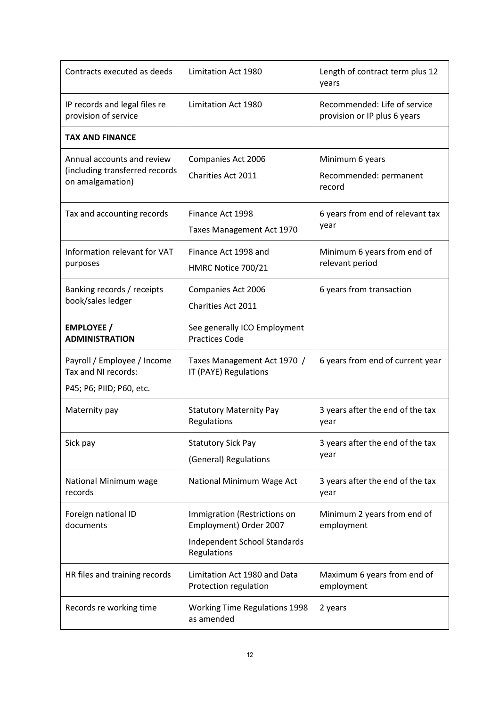| Contracts executed as deeds                                                      | Limitation Act 1980                                                                                   | Length of contract term plus 12<br>years                     |
|----------------------------------------------------------------------------------|-------------------------------------------------------------------------------------------------------|--------------------------------------------------------------|
| IP records and legal files re<br>provision of service                            | Limitation Act 1980                                                                                   | Recommended: Life of service<br>provision or IP plus 6 years |
| <b>TAX AND FINANCE</b>                                                           |                                                                                                       |                                                              |
| Annual accounts and review<br>(including transferred records<br>on amalgamation) | Companies Act 2006<br>Charities Act 2011                                                              | Minimum 6 years<br>Recommended: permanent<br>record          |
| Tax and accounting records                                                       | Finance Act 1998<br>Taxes Management Act 1970                                                         | 6 years from end of relevant tax<br>year                     |
| Information relevant for VAT<br>purposes                                         | Finance Act 1998 and<br>HMRC Notice 700/21                                                            | Minimum 6 years from end of<br>relevant period               |
| Banking records / receipts<br>book/sales ledger                                  | Companies Act 2006<br>Charities Act 2011                                                              | 6 years from transaction                                     |
| <b>EMPLOYEE /</b><br><b>ADMINISTRATION</b>                                       | See generally ICO Employment<br><b>Practices Code</b>                                                 |                                                              |
| Payroll / Employee / Income<br>Tax and NI records:<br>P45; P6; PIID; P60, etc.   | Taxes Management Act 1970 /<br>IT (PAYE) Regulations                                                  | 6 years from end of current year                             |
| Maternity pay                                                                    | <b>Statutory Maternity Pay</b><br>Regulations                                                         | 3 years after the end of the tax<br>year                     |
| Sick pay                                                                         | <b>Statutory Sick Pay</b><br>(General) Regulations                                                    | 3 years after the end of the tax<br>year                     |
| National Minimum wage<br>records                                                 | National Minimum Wage Act                                                                             | 3 years after the end of the tax<br>year                     |
| Foreign national ID<br>documents                                                 | Immigration (Restrictions on<br>Employment) Order 2007<br>Independent School Standards<br>Regulations | Minimum 2 years from end of<br>employment                    |
| HR files and training records                                                    | Limitation Act 1980 and Data<br>Protection regulation                                                 | Maximum 6 years from end of<br>employment                    |
| Records re working time                                                          | <b>Working Time Regulations 1998</b><br>as amended                                                    | 2 years                                                      |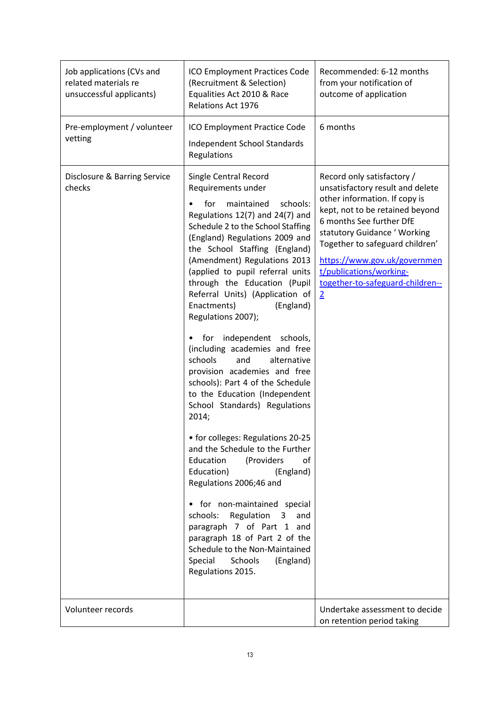| Job applications (CVs and<br>related materials re<br>unsuccessful applicants) | ICO Employment Practices Code<br>(Recruitment & Selection)<br>Equalities Act 2010 & Race<br><b>Relations Act 1976</b>                                                                                                                                                                                                                                                                                                                                                                                                                                                                                                                                                                                                                                                                                                                                                                                                                                                                                                                                                   | Recommended: 6-12 months<br>from your notification of<br>outcome of application                                                                                                                                                                                                                                                                    |
|-------------------------------------------------------------------------------|-------------------------------------------------------------------------------------------------------------------------------------------------------------------------------------------------------------------------------------------------------------------------------------------------------------------------------------------------------------------------------------------------------------------------------------------------------------------------------------------------------------------------------------------------------------------------------------------------------------------------------------------------------------------------------------------------------------------------------------------------------------------------------------------------------------------------------------------------------------------------------------------------------------------------------------------------------------------------------------------------------------------------------------------------------------------------|----------------------------------------------------------------------------------------------------------------------------------------------------------------------------------------------------------------------------------------------------------------------------------------------------------------------------------------------------|
| Pre-employment / volunteer<br>vetting                                         | ICO Employment Practice Code<br>Independent School Standards<br>Regulations                                                                                                                                                                                                                                                                                                                                                                                                                                                                                                                                                                                                                                                                                                                                                                                                                                                                                                                                                                                             | 6 months                                                                                                                                                                                                                                                                                                                                           |
| Disclosure & Barring Service<br>checks                                        | Single Central Record<br>Requirements under<br>for<br>maintained<br>schools:<br>Regulations 12(7) and 24(7) and<br>Schedule 2 to the School Staffing<br>(England) Regulations 2009 and<br>the School Staffing (England)<br>(Amendment) Regulations 2013<br>(applied to pupil referral units<br>through the Education (Pupil<br>Referral Units) (Application of<br>Enactments)<br>(England)<br>Regulations 2007);<br>for independent schools,<br>$\bullet$<br>(including academies and free<br>schools<br>and<br>alternative<br>provision academies and free<br>schools): Part 4 of the Schedule<br>to the Education (Independent<br>School Standards) Regulations<br>2014;<br>• for colleges: Regulations 20-25<br>and the Schedule to the Further<br>Education<br>(Providers<br>of<br>Education)<br>(England)<br>Regulations 2006;46 and<br>• for non-maintained special<br>schools:<br>Regulation<br>and<br>3<br>paragraph 7 of Part 1 and<br>paragraph 18 of Part 2 of the<br>Schedule to the Non-Maintained<br>Special<br>Schools<br>(England)<br>Regulations 2015. | Record only satisfactory /<br>unsatisfactory result and delete<br>other information. If copy is<br>kept, not to be retained beyond<br>6 months See further DfE<br>statutory Guidance ' Working<br>Together to safeguard children'<br>https://www.gov.uk/governmen<br>t/publications/working-<br>together-to-safeguard-children--<br>$\overline{2}$ |
| Volunteer records                                                             |                                                                                                                                                                                                                                                                                                                                                                                                                                                                                                                                                                                                                                                                                                                                                                                                                                                                                                                                                                                                                                                                         | Undertake assessment to decide<br>on retention period taking                                                                                                                                                                                                                                                                                       |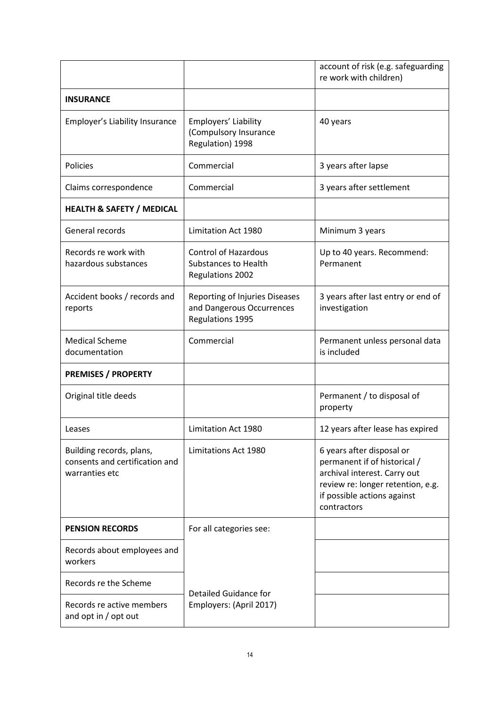|                                                                              |                                                                                       | account of risk (e.g. safeguarding<br>re work with children)                                                                                                                 |
|------------------------------------------------------------------------------|---------------------------------------------------------------------------------------|------------------------------------------------------------------------------------------------------------------------------------------------------------------------------|
| <b>INSURANCE</b>                                                             |                                                                                       |                                                                                                                                                                              |
| Employer's Liability Insurance                                               | Employers' Liability<br>(Compulsory Insurance<br>Regulation) 1998                     | 40 years                                                                                                                                                                     |
| Policies                                                                     | Commercial                                                                            | 3 years after lapse                                                                                                                                                          |
| Claims correspondence                                                        | Commercial                                                                            | 3 years after settlement                                                                                                                                                     |
| <b>HEALTH &amp; SAFETY / MEDICAL</b>                                         |                                                                                       |                                                                                                                                                                              |
| General records                                                              | <b>Limitation Act 1980</b>                                                            | Minimum 3 years                                                                                                                                                              |
| Records re work with<br>hazardous substances                                 | <b>Control of Hazardous</b><br><b>Substances to Health</b><br><b>Regulations 2002</b> | Up to 40 years. Recommend:<br>Permanent                                                                                                                                      |
| Accident books / records and<br>reports                                      | Reporting of Injuries Diseases<br>and Dangerous Occurrences<br>Regulations 1995       | 3 years after last entry or end of<br>investigation                                                                                                                          |
| <b>Medical Scheme</b><br>documentation                                       | Commercial                                                                            | Permanent unless personal data<br>is included                                                                                                                                |
| <b>PREMISES / PROPERTY</b>                                                   |                                                                                       |                                                                                                                                                                              |
| Original title deeds                                                         |                                                                                       | Permanent / to disposal of<br>property                                                                                                                                       |
| Leases                                                                       | Limitation Act 1980                                                                   | 12 years after lease has expired                                                                                                                                             |
| Building records, plans,<br>consents and certification and<br>warranties etc | Limitations Act 1980                                                                  | 6 years after disposal or<br>permanent if of historical /<br>archival interest. Carry out<br>review re: longer retention, e.g.<br>if possible actions against<br>contractors |
| <b>PENSION RECORDS</b>                                                       | For all categories see:                                                               |                                                                                                                                                                              |
| Records about employees and<br>workers                                       |                                                                                       |                                                                                                                                                                              |
| Records re the Scheme                                                        | Detailed Guidance for                                                                 |                                                                                                                                                                              |
| Records re active members<br>and opt in / opt out                            | Employers: (April 2017)                                                               |                                                                                                                                                                              |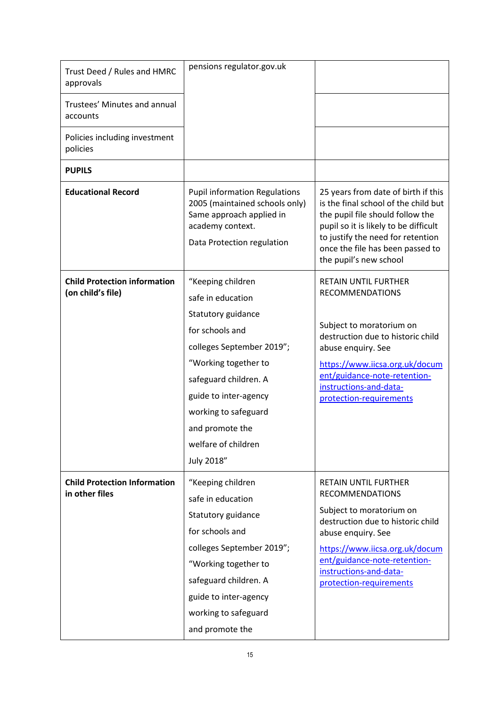| Trust Deed / Rules and HMRC<br>approvals                 | pensions regulator.gov.uk                                                                                                                                                                                                                                              |                                                                                                                                                                                                                                                                     |
|----------------------------------------------------------|------------------------------------------------------------------------------------------------------------------------------------------------------------------------------------------------------------------------------------------------------------------------|---------------------------------------------------------------------------------------------------------------------------------------------------------------------------------------------------------------------------------------------------------------------|
| Trustees' Minutes and annual<br>accounts                 |                                                                                                                                                                                                                                                                        |                                                                                                                                                                                                                                                                     |
| Policies including investment<br>policies                |                                                                                                                                                                                                                                                                        |                                                                                                                                                                                                                                                                     |
| <b>PUPILS</b>                                            |                                                                                                                                                                                                                                                                        |                                                                                                                                                                                                                                                                     |
| <b>Educational Record</b>                                | <b>Pupil information Regulations</b><br>2005 (maintained schools only)<br>Same approach applied in<br>academy context.<br>Data Protection regulation                                                                                                                   | 25 years from date of birth if this<br>is the final school of the child but<br>the pupil file should follow the<br>pupil so it is likely to be difficult<br>to justify the need for retention<br>once the file has been passed to<br>the pupil's new school         |
| <b>Child Protection information</b><br>(on child's file) | "Keeping children<br>safe in education<br>Statutory guidance<br>for schools and<br>colleges September 2019";<br>"Working together to<br>safeguard children. A<br>guide to inter-agency<br>working to safeguard<br>and promote the<br>welfare of children<br>July 2018" | <b>RETAIN UNTIL FURTHER</b><br><b>RECOMMENDATIONS</b><br>Subject to moratorium on<br>destruction due to historic child<br>abuse enquiry. See<br>https://www.iicsa.org.uk/docum<br>ent/guidance-note-retention-<br>instructions-and-data-<br>protection-requirements |
| <b>Child Protection Information</b><br>in other files    | "Keeping children<br>safe in education<br>Statutory guidance<br>for schools and<br>colleges September 2019";<br>"Working together to<br>safeguard children. A<br>guide to inter-agency<br>working to safeguard<br>and promote the                                      | <b>RETAIN UNTIL FURTHER</b><br><b>RECOMMENDATIONS</b><br>Subject to moratorium on<br>destruction due to historic child<br>abuse enquiry. See<br>https://www.iicsa.org.uk/docum<br>ent/guidance-note-retention-<br>instructions-and-data-<br>protection-requirements |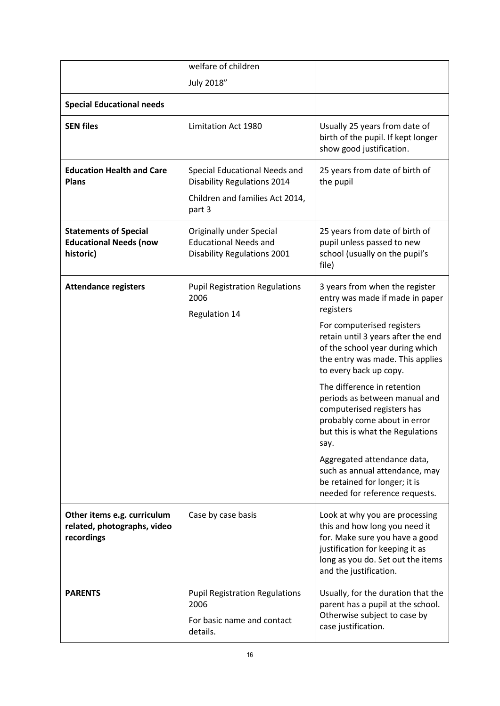|                                                                            | welfare of children                                                                                              |                                                                                                                                                                                                     |
|----------------------------------------------------------------------------|------------------------------------------------------------------------------------------------------------------|-----------------------------------------------------------------------------------------------------------------------------------------------------------------------------------------------------|
|                                                                            | July 2018"                                                                                                       |                                                                                                                                                                                                     |
| <b>Special Educational needs</b>                                           |                                                                                                                  |                                                                                                                                                                                                     |
| <b>SEN files</b>                                                           | Limitation Act 1980                                                                                              | Usually 25 years from date of<br>birth of the pupil. If kept longer<br>show good justification.                                                                                                     |
| <b>Education Health and Care</b><br><b>Plans</b>                           | Special Educational Needs and<br><b>Disability Regulations 2014</b><br>Children and families Act 2014,<br>part 3 | 25 years from date of birth of<br>the pupil                                                                                                                                                         |
| <b>Statements of Special</b><br><b>Educational Needs (now</b><br>historic) | Originally under Special<br><b>Educational Needs and</b><br><b>Disability Regulations 2001</b>                   | 25 years from date of birth of<br>pupil unless passed to new<br>school (usually on the pupil's<br>file)                                                                                             |
| <b>Attendance registers</b>                                                | <b>Pupil Registration Regulations</b><br>2006<br><b>Regulation 14</b>                                            | 3 years from when the register<br>entry was made if made in paper<br>registers                                                                                                                      |
|                                                                            |                                                                                                                  | For computerised registers<br>retain until 3 years after the end<br>of the school year during which<br>the entry was made. This applies<br>to every back up copy.                                   |
|                                                                            |                                                                                                                  | The difference in retention<br>periods as between manual and<br>computerised registers has<br>probably come about in error<br>but this is what the Regulations<br>say.                              |
|                                                                            |                                                                                                                  | Aggregated attendance data,<br>such as annual attendance, may<br>be retained for longer; it is<br>needed for reference requests.                                                                    |
| Other items e.g. curriculum<br>related, photographs, video<br>recordings   | Case by case basis                                                                                               | Look at why you are processing<br>this and how long you need it<br>for. Make sure you have a good<br>justification for keeping it as<br>long as you do. Set out the items<br>and the justification. |
| <b>PARENTS</b>                                                             | <b>Pupil Registration Regulations</b><br>2006<br>For basic name and contact<br>details.                          | Usually, for the duration that the<br>parent has a pupil at the school.<br>Otherwise subject to case by<br>case justification.                                                                      |